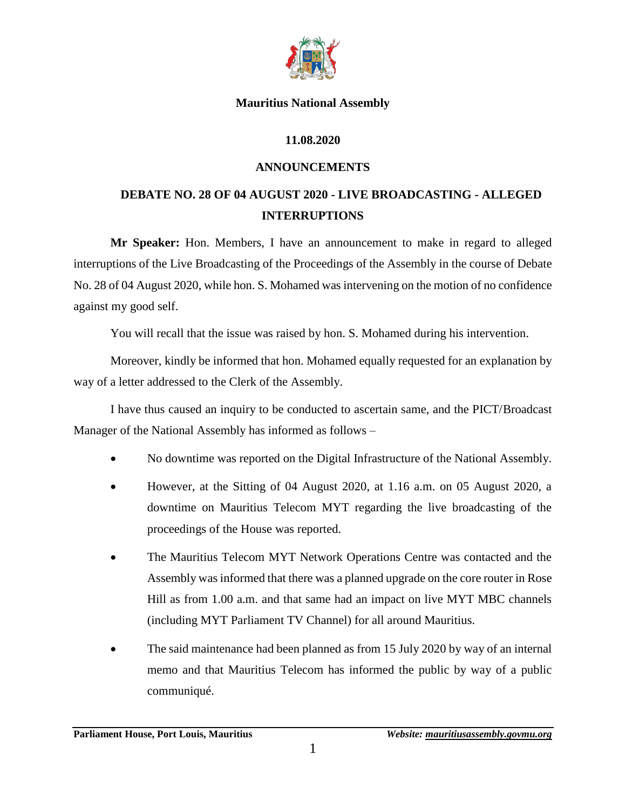

#### **Mauritius National Assembly**

### **11.08.2020**

### **ANNOUNCEMENTS**

# **DEBATE NO. 28 OF 04 AUGUST 2020 - LIVE BROADCASTING - ALLEGED INTERRUPTIONS**

**Mr Speaker:** Hon. Members, I have an announcement to make in regard to alleged interruptions of the Live Broadcasting of the Proceedings of the Assembly in the course of Debate No. 28 of 04 August 2020, while hon. S. Mohamed was intervening on the motion of no confidence against my good self.

You will recall that the issue was raised by hon. S. Mohamed during his intervention.

Moreover, kindly be informed that hon. Mohamed equally requested for an explanation by way of a letter addressed to the Clerk of the Assembly.

I have thus caused an inquiry to be conducted to ascertain same, and the PICT/Broadcast Manager of the National Assembly has informed as follows –

- No downtime was reported on the Digital Infrastructure of the National Assembly.
- However, at the Sitting of 04 August 2020, at 1.16 a.m. on 05 August 2020, a downtime on Mauritius Telecom MYT regarding the live broadcasting of the proceedings of the House was reported.
- The Mauritius Telecom MYT Network Operations Centre was contacted and the Assembly was informed that there was a planned upgrade on the core router in Rose Hill as from 1.00 a.m. and that same had an impact on live MYT MBC channels (including MYT Parliament TV Channel) for all around Mauritius.
- The said maintenance had been planned as from 15 July 2020 by way of an internal memo and that Mauritius Telecom has informed the public by way of a public communiqué.